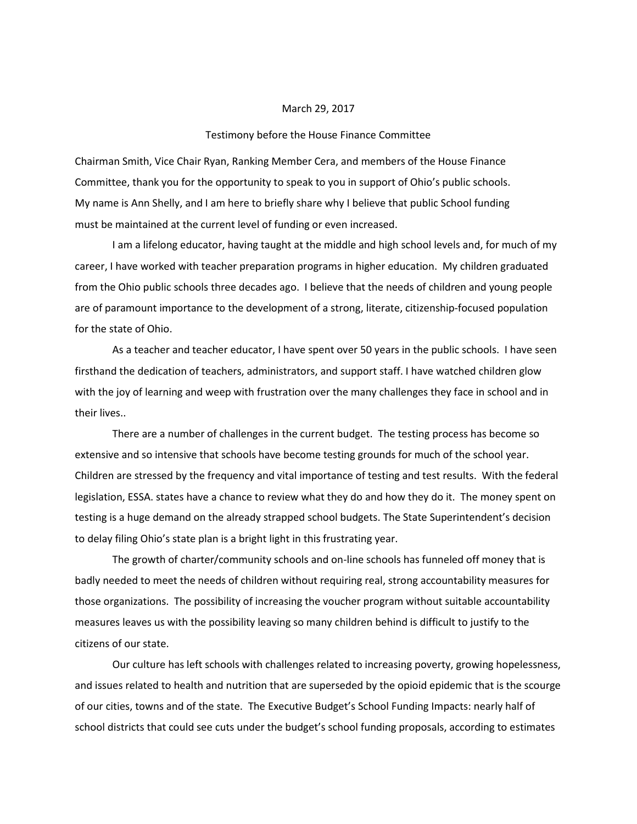## March 29, 2017

## Testimony before the House Finance Committee

Chairman Smith, Vice Chair Ryan, Ranking Member Cera, and members of the House Finance Committee, thank you for the opportunity to speak to you in support of Ohio's public schools. My name is Ann Shelly, and I am here to briefly share why I believe that public School funding must be maintained at the current level of funding or even increased.

I am a lifelong educator, having taught at the middle and high school levels and, for much of my career, I have worked with teacher preparation programs in higher education. My children graduated from the Ohio public schools three decades ago. I believe that the needs of children and young people are of paramount importance to the development of a strong, literate, citizenship-focused population for the state of Ohio.

As a teacher and teacher educator, I have spent over 50 years in the public schools. I have seen firsthand the dedication of teachers, administrators, and support staff. I have watched children glow with the joy of learning and weep with frustration over the many challenges they face in school and in their lives..

There are a number of challenges in the current budget. The testing process has become so extensive and so intensive that schools have become testing grounds for much of the school year. Children are stressed by the frequency and vital importance of testing and test results. With the federal legislation, ESSA. states have a chance to review what they do and how they do it. The money spent on testing is a huge demand on the already strapped school budgets. The State Superintendent's decision to delay filing Ohio's state plan is a bright light in this frustrating year.

The growth of charter/community schools and on-line schools has funneled off money that is badly needed to meet the needs of children without requiring real, strong accountability measures for those organizations. The possibility of increasing the voucher program without suitable accountability measures leaves us with the possibility leaving so many children behind is difficult to justify to the citizens of our state.

Our culture has left schools with challenges related to increasing poverty, growing hopelessness, and issues related to health and nutrition that are superseded by the opioid epidemic that is the scourge of our cities, towns and of the state. The Executive Budget's School Funding Impacts: nearly half of school districts that could see cuts under the budget's school funding proposals, according to estimates